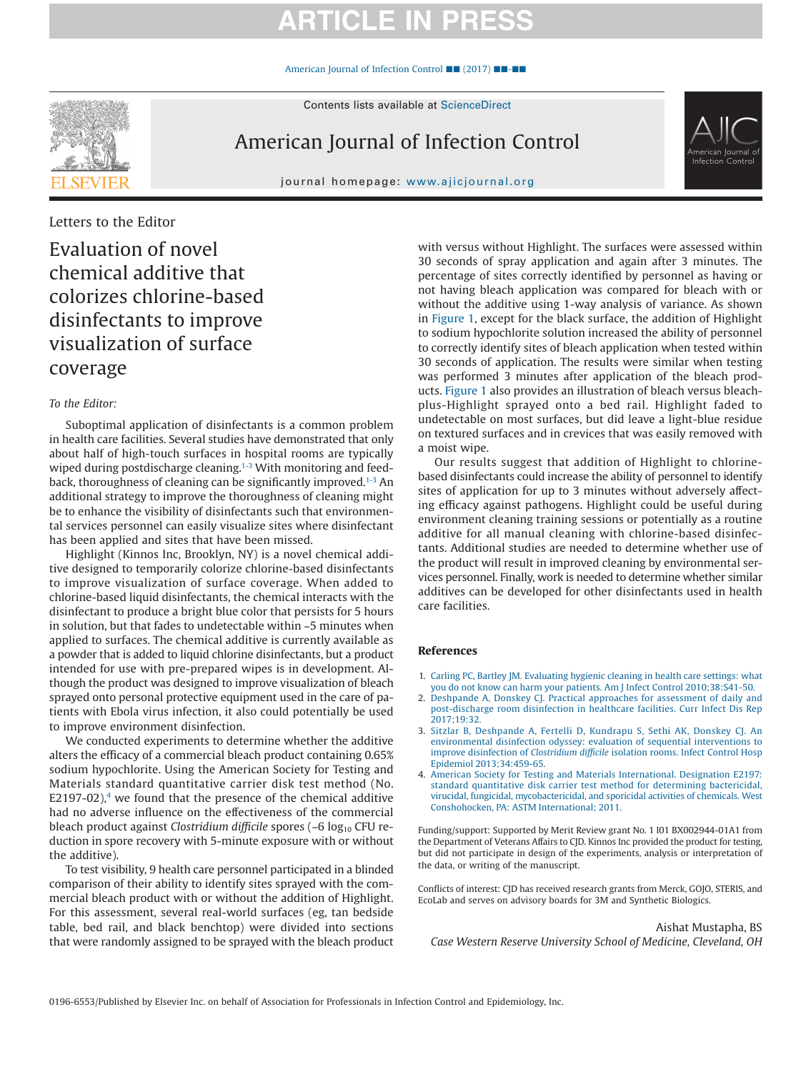## **ARTICLE IN PR**

[American Journal of Infection Control](https://doi.org/10.1016/j.ajic.2017.09.019) ■■ (2017) ■■-■■



Contents lists available at [ScienceDirect](http://www.sciencedirect.com/science/journal/01966553)

American Journal of Infection Control

journal homepage: [www.ajicjournal.org](http://www.ajicjournal.org)



Letters to the Editor

Evaluation of novel chemical additive that colorizes chlorine-based disinfectants to improve visualization of surface coverage

## *To the Editor:*

Suboptimal application of disinfectants is a common problem in health care facilities. Several studies have demonstrated that only about half of high-touch surfaces in hospital rooms are typically wiped during postdischarge cleaning.<sup>1-3</sup> With monitoring and feedback, thoroughness of cleaning can be significantly improved[.1-3](#page-0-0) An additional strategy to improve the thoroughness of cleaning might be to enhance the visibility of disinfectants such that environmental services personnel can easily visualize sites where disinfectant has been applied and sites that have been missed.

Highlight (Kinnos Inc, Brooklyn, NY) is a novel chemical additive designed to temporarily colorize chlorine-based disinfectants to improve visualization of surface coverage. When added to chlorine-based liquid disinfectants, the chemical interacts with the disinfectant to produce a bright blue color that persists for 5 hours in solution, but that fades to undetectable within ~5 minutes when applied to surfaces. The chemical additive is currently available as a powder that is added to liquid chlorine disinfectants, but a product intended for use with pre-prepared wipes is in development. Although the product was designed to improve visualization of bleach sprayed onto personal protective equipment used in the care of patients with Ebola virus infection, it also could potentially be used to improve environment disinfection.

We conducted experiments to determine whether the additive alters the efficacy of a commercial bleach product containing 0.65% sodium hypochlorite. Using the American Society for Testing and Materials standard quantitative carrier disk test method (No. E2197-02), $4$  we found that the presence of the chemical additive had no adverse influence on the effectiveness of the commercial bleach product against *Clostridium difficile* spores (~6 log<sub>10</sub> CFU reduction in spore recovery with 5-minute exposure with or without the additive).

To test visibility, 9 health care personnel participated in a blinded comparison of their ability to identify sites sprayed with the commercial bleach product with or without the addition of Highlight. For this assessment, several real-world surfaces (eg, tan bedside table, bed rail, and black benchtop) were divided into sections that were randomly assigned to be sprayed with the bleach product with versus without Highlight. The surfaces were assessed within 30 seconds of spray application and again after 3 minutes. The percentage of sites correctly identified by personnel as having or not having bleach application was compared for bleach with or without the additive using 1-way analysis of variance. As shown in [Figure 1,](#page-1-0) except for the black surface, the addition of Highlight to sodium hypochlorite solution increased the ability of personnel to correctly identify sites of bleach application when tested within 30 seconds of application. The results were similar when testing was performed 3 minutes after application of the bleach products. [Figure 1](#page-1-0) also provides an illustration of bleach versus bleachplus-Highlight sprayed onto a bed rail. Highlight faded to undetectable on most surfaces, but did leave a light-blue residue on textured surfaces and in crevices that was easily removed with a moist wipe.

Our results suggest that addition of Highlight to chlorinebased disinfectants could increase the ability of personnel to identify sites of application for up to 3 minutes without adversely affecting efficacy against pathogens. Highlight could be useful during environment cleaning training sessions or potentially as a routine additive for all manual cleaning with chlorine-based disinfectants. Additional studies are needed to determine whether use of the product will result in improved cleaning by environmental services personnel. Finally, work is needed to determine whether similar additives can be developed for other disinfectants used in health care facilities.

## **References**

- <span id="page-0-0"></span>1. [Carling PC, Bartley JM. Evaluating hygienic cleaning in health care settings: what](http://refhub.elsevier.com/S0196-6553(17)31094-5/sr0010) [you do not know can harm your patients. Am J Infect Control 2010;38:S41-50.](http://refhub.elsevier.com/S0196-6553(17)31094-5/sr0010)
- 2. [Deshpande A, Donskey CJ. Practical approaches for assessment of daily and](http://refhub.elsevier.com/S0196-6553(17)31094-5/sr0015) [post-discharge room disinfection in healthcare facilities. Curr Infect Dis Rep](http://refhub.elsevier.com/S0196-6553(17)31094-5/sr0015)  $2017:19:32$
- 3. [Sitzlar B, Deshpande A, Fertelli D, Kundrapu S, Sethi AK, Donskey CJ. An](http://refhub.elsevier.com/S0196-6553(17)31094-5/sr0020) [environmental disinfection odyssey: evaluation of sequential interventions to](http://refhub.elsevier.com/S0196-6553(17)31094-5/sr0020) improve disinfection of *Clostridium difficile* [isolation rooms. Infect Control Hosp](http://refhub.elsevier.com/S0196-6553(17)31094-5/sr0020) [Epidemiol 2013;34:459-65.](http://refhub.elsevier.com/S0196-6553(17)31094-5/sr0020)
- <span id="page-0-1"></span>4. [American Society for Testing and Materials International. Designation E2197:](http://refhub.elsevier.com/S0196-6553(17)31094-5/sr0025) [standard quantitative disk carrier test method for determining bactericidal,](http://refhub.elsevier.com/S0196-6553(17)31094-5/sr0025) [virucidal, fungicidal, mycobactericidal, and sporicidal activities of chemicals. West](http://refhub.elsevier.com/S0196-6553(17)31094-5/sr0025) [Conshohocken, PA: ASTM International; 2011.](http://refhub.elsevier.com/S0196-6553(17)31094-5/sr0025)

Funding/support: Supported by Merit Review grant No. 1 I01 BX002944-01A1 from the Department of Veterans Affairs to CJD. Kinnos Inc provided the product for testing, but did not participate in design of the experiments, analysis or interpretation of the data, or writing of the manuscript.

Conflicts of interest: CJD has received research grants from Merck, GOJO, STERIS, and EcoLab and serves on advisory boards for 3M and Synthetic Biologics.

Aishat Mustapha, BS *Case Western Reserve University School of Medicine, Cleveland, OH*